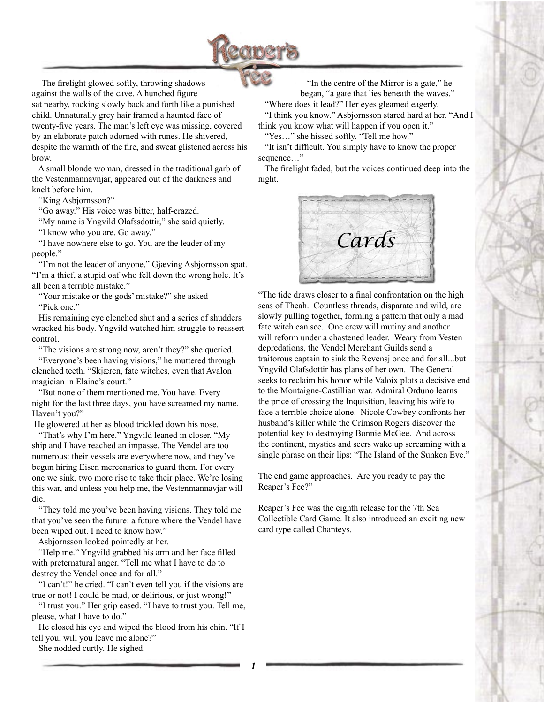

The firelight glowed softly, throwing shadows against the walls of the cave. A hunched figure sat nearby, rocking slowly back and forth like a punished child. Unnaturally grey hair framed a haunted face of twenty-five years. The man's left eye was missing, covered by an elaborate patch adorned with runes. He shivered, despite the warmth of the fire, and sweat glistened across his brow.

 A small blonde woman, dressed in the traditional garb of the Vestenmannavnjar, appeared out of the darkness and knelt before him.

"King Asbjornsson?"

"Go away." His voice was bitter, half-crazed.

"My name is Yngvild Olafssdottir," she said quietly.

"I know who you are. Go away."

 "I have nowhere else to go. You are the leader of my people."

 "I'm not the leader of anyone," Gjæving Asbjornsson spat. "I'm a thief, a stupid oaf who fell down the wrong hole. It's all been a terrible mistake."

 "Your mistake or the gods' mistake?" she asked "Pick one."

 His remaining eye clenched shut and a series of shudders wracked his body. Yngvild watched him struggle to reassert control.

"The visions are strong now, aren't they?" she queried.

 "Everyone's been having visions," he muttered through clenched teeth. "Skjæren, fate witches, even that Avalon magician in Elaine's court."

 "But none of them mentioned me. You have. Every night for the last three days, you have screamed my name. Haven't you?"

He glowered at her as blood trickled down his nose.

 "That's why I'm here." Yngvild leaned in closer. "My ship and I have reached an impasse. The Vendel are too numerous: their vessels are everywhere now, and they've begun hiring Eisen mercenaries to guard them. For every one we sink, two more rise to take their place. We're losing this war, and unless you help me, the Vestenmannavjar will die.

 "They told me you've been having visions. They told me that you've seen the future: a future where the Vendel have been wiped out. I need to know how."

Asbjornsson looked pointedly at her.

 "Help me." Yngvild grabbed his arm and her face filled with preternatural anger. "Tell me what I have to do to destroy the Vendel once and for all."

 "I can't!" he cried. "I can't even tell you if the visions are true or not! I could be mad, or delirious, or just wrong!"

 "I trust you." Her grip eased. "I have to trust you. Tell me, please, what I have to do."

 He closed his eye and wiped the blood from his chin. "If I tell you, will you leave me alone?"

She nodded curtly. He sighed.

"In the centre of the Mirror is a gate," he

began, "a gate that lies beneath the waves." "Where does it lead?" Her eyes gleamed eagerly. "I think you know." Asbjornsson stared hard at her. "And I think you know what will happen if you open it."

 "Yes…" she hissed softly. "Tell me how." "It isn't difficult. You simply have to know the proper

sequence…" The firelight faded, but the voices continued deep into the night.



"The tide draws closer to a final confrontation on the high seas of Theah. Countless threads, disparate and wild, are slowly pulling together, forming a pattern that only a mad fate witch can see. One crew will mutiny and another will reform under a chastened leader. Weary from Vesten depredations, the Vendel Merchant Guilds send a traitorous captain to sink the Revensj once and for all...but Yngvild Olafsdottir has plans of her own. The General seeks to reclaim his honor while Valoix plots a decisive end to the Montaigne-Castillian war. Admiral Orduno learns the price of crossing the Inquisition, leaving his wife to face a terrible choice alone. Nicole Cowbey confronts her husband's killer while the Crimson Rogers discover the potential key to destroying Bonnie McGee. And across the continent, mystics and seers wake up screaming with a single phrase on their lips: "The Island of the Sunken Eye."

The end game approaches. Are you ready to pay the Reaper's Fee?"

Reaper's Fee was the eighth release for the 7th Sea Collectible Card Game. It also introduced an exciting new card type called Chanteys.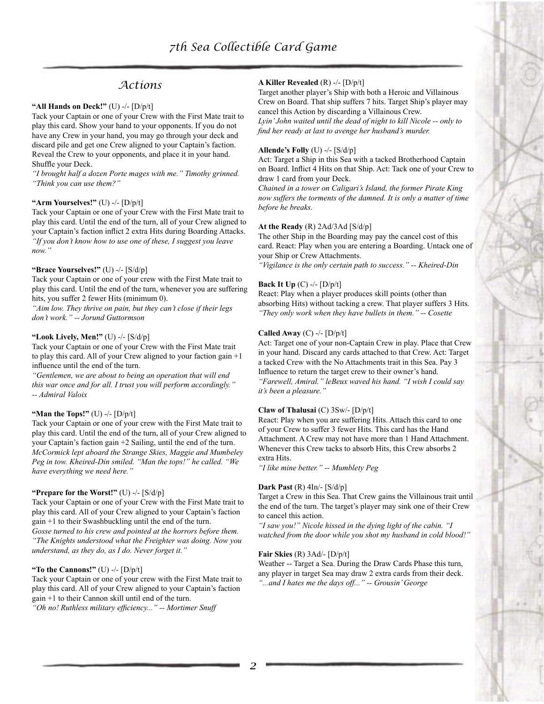# *Actions*

# **"All Hands on Deck!"** (U) -/- [D/p/t]

Tack your Captain or one of your Crew with the First Mate trait to play this card. Show your hand to your opponents. If you do not have any Crew in your hand, you may go through your deck and discard pile and get one Crew aligned to your Captain's faction. Reveal the Crew to your opponents, and place it in your hand. Shuffle your Deck.

*"I brought half a dozen Porte mages with me." Timothy grinned. "Think you can use them?"*

### **"Arm Yourselves!"** (U) -/- [D/p/t]

Tack your Captain or one of your Crew with the First Mate trait to play this card. Until the end of the turn, all of your Crew aligned to your Captain's faction inflict 2 extra Hits during Boarding Attacks. *"If you don't know how to use one of these, I suggest you leave now."*

#### **"Brace Yourselves!"** (U) -/- [S/d/p]

Tack your Captain or one of your crew with the First Mate trait to play this card. Until the end of the turn, whenever you are suffering hits, you suffer 2 fewer Hits (minimum 0).

*"Aim low. They thrive on pain, but they can't close if their legs don't work." -- Jorund Guttormson*

#### **"Look Lively, Men!"** (U) -/- [S/d/p]

Tack your Captain or one of your Crew with the First Mate trait to play this card. All of your Crew aligned to your faction gain +1 influence until the end of the turn.

*"Gentlemen, we are about to being an operation that will end this war once and for all. I trust you will perform accordingly." -- Admiral Valoix*

#### **"Man the Tops!"** (U) -/- [D/p/t]

Tack your Captain or one of your crew with the First Mate trait to play this card. Until the end of the turn, all of your Crew aligned to your Captain's faction gain +2 Sailing, until the end of the turn. *McCormick lept aboard the Strange Skies, Maggie and Mumbeley Peg in tow. Kheired-Din smiled. "Man the tops!" he called. "We have everything we need here."*

#### **"Prepare for the Worst!"** (U) -/- [S/d/p]

Tack your Captain or one of your Crew with the First Mate trait to play this card. All of your Crew aligned to your Captain's faction gain +1 to their Swashbuckling until the end of the turn.

*Gosse turned to his crew and pointed at the horrors before them. "The Knights understood what the Freighter was doing. Now you understand, as they do, as I do. Never forget it."*

#### **"To the Cannons!"** (U) -/- [D/p/t]

Tack your Captain or one of your crew with the First Mate trait to play this card. All of your Crew aligned to your Captain's faction gain +1 to their Cannon skill until end of the turn. *"Oh no! Ruthless military efficiency..." -- Mortimer Snuff*

#### **A Killer Revealed** (R) -/- [D/p/t]

Target another player's Ship with both a Heroic and Villainous Crew on Board. That ship suffers 7 hits. Target Ship's player may cancel this Action by discarding a Villainous Crew. *Lyin' John waited until the dead of night to kill Nicole -- only to find her ready at last to avenge her husband's murder.*

#### **Allende's Folly** (U) -/- [S/d/p]

Act: Target a Ship in this Sea with a tacked Brotherhood Captain on Board. Inflict 4 Hits on that Ship. Act: Tack one of your Crew to draw 1 card from your Deck.

*Chained in a tower on Caligari's Island, the former Pirate King now suffers the torments of the damned. It is only a matter of time before he breaks.*

### **At the Ready** (R) 2Ad/3Ad [S/d/p]

The other Ship in the Boarding may pay the cancel cost of this card. React: Play when you are entering a Boarding. Untack one of your Ship or Crew Attachments.

*"Vigilance is the only certain path to success." -- Kheired-Din*

### **Back It Up** (C) -/- [D/p/t]

React: Play when a player produces skill points (other than absorbing Hits) without tacking a crew. That player suffers 3 Hits. *"They only work when they have bullets in them." -- Cosette*

### **Called Away** (C) -/- [D/p/t]

Act: Target one of your non-Captain Crew in play. Place that Crew in your hand. Discard any cards attached to that Crew. Act: Target a tacked Crew with the No Attachments trait in this Sea. Pay 3 Influence to return the target crew to their owner's hand. *"Farewell, Amiral." leBeux waved his hand. "I wish I could say it's been a pleasure."*

#### **Claw of Thalusai** (C) 3Sw/- [D/p/t]

React: Play when you are suffering Hits. Attach this card to one of your Crew to suffer 3 fewer Hits. This card has the Hand Attachment. A Crew may not have more than 1 Hand Attachment. Whenever this Crew tacks to absorb Hits, this Crew absorbs 2 extra Hits.

*"I like mine better." -- Mumblety Peg*

#### **Dark Past** (R) 4In/- [S/d/p]

Target a Crew in this Sea. That Crew gains the Villainous trait until the end of the turn. The target's player may sink one of their Crew to cancel this action.

*"I saw you!" Nicole hissed in the dying light of the cabin. "I watched from the door while you shot my husband in cold blood!"*

#### **Fair Skies** (R) 3Ad/- [D/p/t]

Weather -- Target a Sea. During the Draw Cards Phase this turn, any player in target Sea may draw 2 extra cards from their deck. *"...and I hates me the days off..." -- Grousin' George*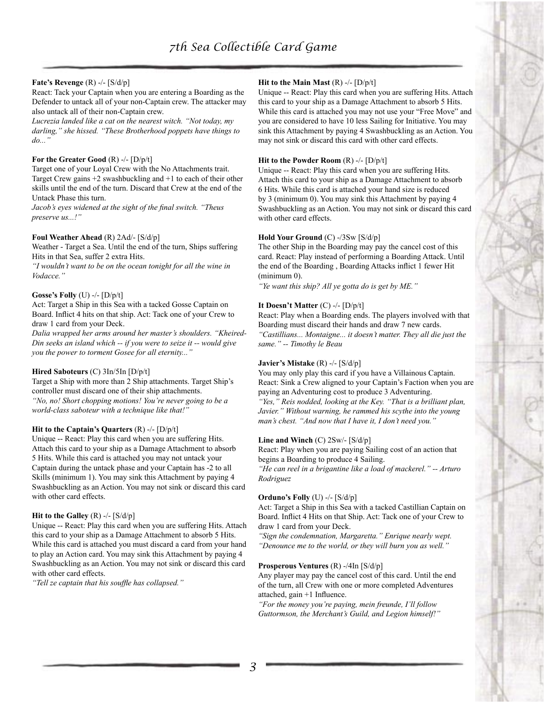### **Fate's Revenge** (R) -/- [S/d/p]

React: Tack your Captain when you are entering a Boarding as the Defender to untack all of your non-Captain crew. The attacker may also untack all of their non-Captain crew.

*Lucrezia landed like a cat on the nearest witch. "Not today, my darling," she hissed. "These Brotherhood poppets have things to do..."*

### **For the Greater Good** (R) -/- [D/p/t]

Target one of your Loyal Crew with the No Attachments trait. Target Crew gains +2 swashbuckling and +1 to each of their other skills until the end of the turn. Discard that Crew at the end of the Untack Phase this turn.

*Jacob's eyes widened at the sight of the final switch. "Theus preserve us...!"*

### **Foul Weather Ahead** (R) 2Ad/- [S/d/p]

Weather - Target a Sea. Until the end of the turn, Ships suffering Hits in that Sea, suffer 2 extra Hits.

*"I wouldn't want to be on the ocean tonight for all the wine in Vodacce."*

### **Gosse's Folly** (U) -/- [D/p/t]

Act: Target a Ship in this Sea with a tacked Gosse Captain on Board. Inflict 4 hits on that ship. Act: Tack one of your Crew to draw 1 card from your Deck.

*Dalia wrapped her arms around her master's shoulders. "Kheired-Din seeks an island which -- if you were to seize it -- would give you the power to torment Gosee for all eternity..."*

### **Hired Saboteurs** (C) 3In/5In [D/p/t]

Target a Ship with more than 2 Ship attachments. Target Ship's controller must discard one of their ship attachments. *"No, no! Short chopping motions! You're never going to be a world-class saboteur with a technique like that!"*

### **Hit to the Captain's Quarters** (R) -/- [D/p/t]

Unique -- React: Play this card when you are suffering Hits. Attach this card to your ship as a Damage Attachment to absorb 5 Hits. While this card is attached you may not untack your Captain during the untack phase and your Captain has -2 to all Skills (minimum 1). You may sink this Attachment by paying 4 Swashbuckling as an Action. You may not sink or discard this card with other card effects.

### **Hit to the Galley**  $(R)$  -/-  $[S/d/p]$

Unique -- React: Play this card when you are suffering Hits. Attach this card to your ship as a Damage Attachment to absorb 5 Hits. While this card is attached you must discard a card from your hand to play an Action card. You may sink this Attachment by paying 4 Swashbuckling as an Action. You may not sink or discard this card with other card effects.

*"Tell ze captain that his souffle has collapsed."*

### **Hit to the Main Mast** (R) -/- [D/p/t]

Unique -- React: Play this card when you are suffering Hits. Attach this card to your ship as a Damage Attachment to absorb 5 Hits. While this card is attached you may not use your "Free Move" and you are considered to have 10 less Sailing for Initiative. You may sink this Attachment by paying 4 Swashbuckling as an Action. You may not sink or discard this card with other card effects.

### **Hit to the Powder Room** (R) -/- [D/p/t]

Unique -- React: Play this card when you are suffering Hits. Attach this card to your ship as a Damage Attachment to absorb 6 Hits. While this card is attached your hand size is reduced by 3 (minimum 0). You may sink this Attachment by paying 4 Swashbuckling as an Action. You may not sink or discard this card with other card effects.

### **Hold Your Ground** (C) -/3Sw [S/d/p]

The other Ship in the Boarding may pay the cancel cost of this card. React: Play instead of performing a Boarding Attack. Until the end of the Boarding , Boarding Attacks inflict 1 fewer Hit (minimum 0).

*"Ye want this ship? All ye gotta do is get by ME."*

### **It Doesn't Matter** (C) -/- [D/p/t]

React: Play when a Boarding ends. The players involved with that Boarding must discard their hands and draw 7 new cards. *"Castillians... Montaigne... it doesn't matter. They all die just the same." -- Timothy le Beau*

### **Javier's Mistake** (R) -/- [S/d/p]

You may only play this card if you have a Villainous Captain. React: Sink a Crew aligned to your Captain's Faction when you are paying an Adventuring cost to produce 3 Adventuring. *"Yes," Reis nodded, looking at the Key. "That is a brilliant plan, Javier." Without warning, he rammed his scythe into the young man's chest. "And now that I have it, I don't need you."*

### **Line and Winch** (C) 2Sw/- [S/d/p]

React: Play when you are paying Sailing cost of an action that begins a Boarding to produce 4 Sailing.

*"He can reel in a brigantine like a load of mackerel." -- Arturo Rodriguez*

### **Orduno's Folly** (U) -/- [S/d/p]

Act: Target a Ship in this Sea with a tacked Castillian Captain on Board. Inflict 4 Hits on that Ship. Act: Tack one of your Crew to draw 1 card from your Deck.

*"Sign the condemnation, Margaretta." Enrique nearly wept. "Denounce me to the world, or they will burn you as well."*

## **Prosperous Ventures** (R) -/4In [S/d/p]

Any player may pay the cancel cost of this card. Until the end of the turn, all Crew with one or more completed Adventures attached, gain +1 Influence.

*"For the money you're paying, mein freunde, I'll follow Guttormson, the Merchant's Guild, and Legion himself!"*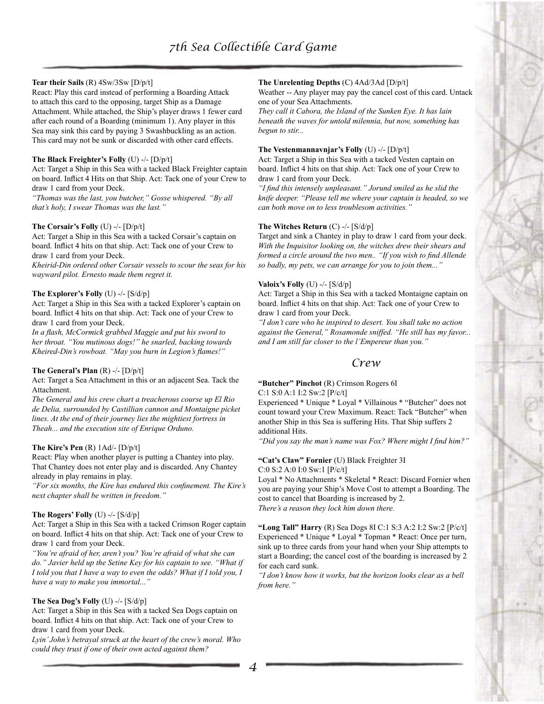### **Tear their Sails** (R) 4Sw/3Sw [D/p/t]

React: Play this card instead of performing a Boarding Attack to attach this card to the opposing, target Ship as a Damage Attachment. While attached, the Ship's player draws 1 fewer card after each round of a Boarding (minimum 1). Any player in this Sea may sink this card by paying 3 Swashbuckling as an action. This card may not be sunk or discarded with other card effects.

### **The Black Freighter's Folly** (U) -/- [D/p/t]

Act: Target a Ship in this Sea with a tacked Black Freighter captain on board. Inflict 4 Hits on that Ship. Act: Tack one of your Crew to draw 1 card from your Deck.

*"Thomas was the last, you butcher," Gosse whispered. "By all that's holy, I swear Thomas was the last."*

### **The Corsair's Folly** (U) -/- [D/p/t]

Act: Target a Ship in this Sea with a tacked Corsair's captain on board. Inflict 4 hits on that ship. Act: Tack one of your Crew to draw 1 card from your Deck.

*Kheirid-Din ordered other Corsair vessels to scour the seas for his wayward pilot. Ernesto made them regret it.*

### **The Explorer's Folly** (U) -/- [S/d/p]

Act: Target a Ship in this Sea with a tacked Explorer's captain on board. Inflict 4 hits on that ship. Act: Tack one of your Crew to draw 1 card from your Deck.

*In a flash, McCormick grabbed Maggie and put his sword to her throat. "You mutinous dogs!" he snarled, backing towards Kheired-Din's rowboat. "May you burn in Legion's flames!"*

### **The General's Plan** (R) -/- [D/p/t]

Act: Target a Sea Attachment in this or an adjacent Sea. Tack the Attachment.

*The General and his crew chart a treacherous course up El Rio de Delia, surrounded by Castillian cannon and Montaigne picket lines. At the end of their journey lies the mightiest fortress in Theah... and the execution site of Enrique Orduno.*

### **The Kire's Pen** (R) 1Ad/- [D/p/t]

React: Play when another player is putting a Chantey into play. That Chantey does not enter play and is discarded. Any Chantey already in play remains in play.

*"For six months, the Kire has endured this confinement. The Kire's next chapter shall be written in freedom."*

### **The Rogers' Folly** (U) -/- [S/d/p]

Act: Target a Ship in this Sea with a tacked Crimson Roger captain on board. Inflict 4 hits on that ship. Act: Tack one of your Crew to draw 1 card from your Deck.

*"You're afraid of her, aren't you? You're afraid of what she can do." Javier held up the Setine Key for his captain to see. "What if I told you that I have a way to even the odds? What if I told you, I have a way to make you immortal..."*

### **The Sea Dog's Folly** (U) -/- [S/d/p]

Act: Target a Ship in this Sea with a tacked Sea Dogs captain on board. Inflict 4 hits on that ship. Act: Tack one of your Crew to draw 1 card from your Deck.

*Lyin' John's betrayal struck at the heart of the crew's moral. Who could they trust if one of their own acted against them?*

### **The Unrelenting Depths** (C) 4Ad/3Ad [D/p/t]

Weather -- Any player may pay the cancel cost of this card. Untack one of your Sea Attachments.

*They call it Cabora, the Island of the Sunken Eye. It has lain beneath the waves for untold milennia, but now, something has begun to stir...*

### **The Vestenmannavnjar's Folly** (U) -/- [D/p/t]

Act: Target a Ship in this Sea with a tacked Vesten captain on board. Inflict 4 hits on that ship. Act: Tack one of your Crew to draw 1 card from your Deck.

*"I find this intensely unpleasant." Jorund smiled as he slid the knife deeper. "Please tell me where your captain is headed, so we can both move on to less troublesom activities."*

### **The Witches Return** (C) -/- [S/d/p]

Target and sink a Chantey in play to draw 1 card from your deck. *With the Inquisitor looking on, the witches drew their shears and formed a circle around the two men.. "If you wish to find Allende so badly, my pets, we can arrange for you to join them..."*

### **Valoix's Folly** (U) -/- [S/d/p]

Act: Target a Ship in this Sea with a tacked Montaigne captain on board. Inflict 4 hits on that ship. Act: Tack one of your Crew to draw 1 card from your Deck.

*"I don't care who he inspired to desert. You shall take no action against the General," Rosamonde sniffed. "He still has my favor... and I am still far closer to the l'Empereur than you."*

# *Crew*

**"Butcher" Pinchot** (R) Crimson Rogers 6I

C:1 S:0 A:1 I:2 Sw:2 [P/c/t]

Experienced \* Unique \* Loyal \* Villainous \* "Butcher" does not count toward your Crew Maximum. React: Tack "Butcher" when another Ship in this Sea is suffering Hits. That Ship suffers 2 additional Hits.

*"Did you say the man's name was Fox? Where might I find him?"*

### **"Cat's Claw" Fornier** (U) Black Freighter 3I

C:0 S:2 A:0 I:0 Sw:1 [P/c/t]

Loyal \* No Attachments \* Skeletal \* React: Discard Fornier when you are paying your Ship's Move Cost to attempt a Boarding. The cost to cancel that Boarding is increased by 2. *There's a reason they lock him down there.*

**"Long Tall" Harry** (R) Sea Dogs 8I C:1 S:3 A:2 I:2 Sw:2 [P/c/t] Experienced \* Unique \* Loyal \* Topman \* React: Once per turn, sink up to three cards from your hand when your Ship attempts to start a Boarding; the cancel cost of the boarding is increased by 2 for each card sunk.

*"I don't know how it works, but the horizon looks clear as a bell from here."*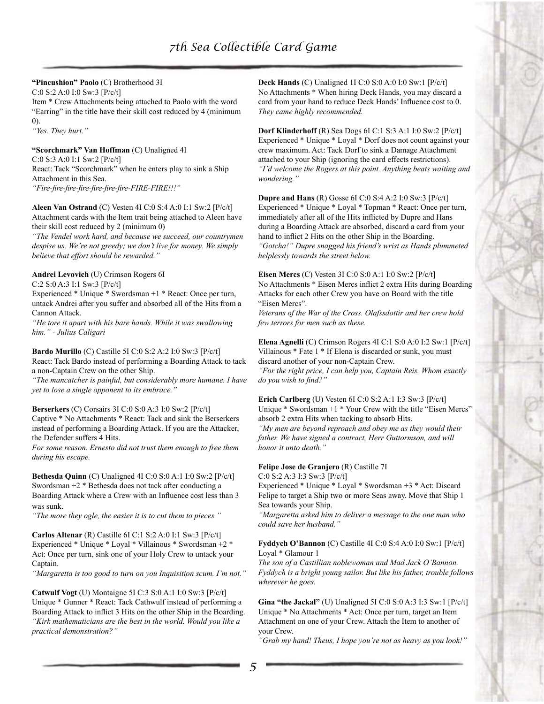## **"Pincushion" Paolo** (C) Brotherhood 3I

C:0 S:2 A:0 I:0 Sw:3 [P/c/t]

Item \* Crew Attachments being attached to Paolo with the word "Earring" in the title have their skill cost reduced by 4 (minimum 0).

*"Yes. They hurt."*

### **"Scorchmark" Van Hoffman** (C) Unaligned 4I

C:0 S:3 A:0 I:1 Sw:2 [P/c/t]

React: Tack "Scorchmark" when he enters play to sink a Ship Attachment in this Sea.

*"Fire-fire-fire-fire-fire-fire-fire-FIRE-FIRE!!!"*

### **Aleen Van Ostrand** (C) Vesten 4I C:0 S:4 A:0 I:1 Sw:2 [P/c/t] Attachment cards with the Item trait being attached to Aleen have their skill cost reduced by 2 (minimum 0)

*"The Vendel work hard, and because we succeed, our countrymen despise us. We're not greedy; we don't live for money. We simply believe that effort should be rewarded."*

### **Andrei Levovich** (U) Crimson Rogers 6I

C:2 S:0 A:3 I:1 Sw:3 [P/c/t]

Experienced \* Unique \* Swordsman +1 \* React: Once per turn, untack Andrei after you suffer and absorbed all of the Hits from a Cannon Attack.

*"He tore it apart with his bare hands. While it was swallowing him." - Julius Caligari*

### **Bardo Murillo** (C) Castille 5I C:0 S:2 A:2 I:0 Sw:3 [P/c/t]

React: Tack Bardo instead of performing a Boarding Attack to tack a non-Captain Crew on the other Ship.

*"The mancatcher is painful, but considerably more humane. I have yet to lose a single opponent to its embrace."*

**Berserkers** (C) Corsairs 3I C:0 S:0 A:3 I:0 Sw:2 [P/c/t] Captive \* No Attachments \* React: Tack and sink the Berserkers instead of performing a Boarding Attack. If you are the Attacker, the Defender suffers 4 Hits.

*For some reason. Ernesto did not trust them enough to free them during his escape.*

**Bethesda Quinn** (C) Unaligned 4I C:0 S:0 A:1 I:0 Sw:2 [P/c/t] Swordsman +2 \* Bethesda does not tack after conducting a Boarding Attack where a Crew with an Influence cost less than 3 was sunk.

*"The more they ogle, the easier it is to cut them to pieces."*

**Carlos Altenar** (R) Castille 6I C:1 S:2 A:0 I:1 Sw:3 [P/c/t] Experienced \* Unique \* Loyal \* Villainous \* Swordsman +2 \* Act: Once per turn, sink one of your Holy Crew to untack your Captain.

*"Margaretta is too good to turn on you Inquisition scum. I'm not."*

**Catwulf Vogt** (U) Montaigne 5I C:3 S:0 A:1 I:0 Sw:3 [P/c/t] Unique \* Gunner \* React: Tack Cathwulf instead of performing a Boarding Attack to inflict 3 Hits on the other Ship in the Boarding. *"Kirk mathematicians are the best in the world. Would you like a practical demonstration?"*

**Deck Hands** (C) Unaligned 1I C:0 S:0 A:0 I:0 Sw:1 [P/c/t] No Attachments \* When hiring Deck Hands, you may discard a card from your hand to reduce Deck Hands' Influence cost to 0. *They came highly recommended.*

**Dorf Klinderhoff** (R) Sea Dogs 6I C:1 S:3 A:1 I:0 Sw:2 [P/c/t] Experienced \* Unique \* Loyal \* Dorf does not count against your crew maximum. Act: Tack Dorf to sink a Damage Attachment attached to your Ship (ignoring the card effects restrictions). *"I'd welcome the Rogers at this point. Anything beats waiting and wondering."*

**Dupre and Hans** (R) Gosse 6I C:0 S:4 A:2 I:0 Sw:3 [P/c/t] Experienced \* Unique \* Loyal \* Topman \* React: Once per turn, immediately after all of the Hits inflicted by Dupre and Hans during a Boarding Attack are absorbed, discard a card from your hand to inflict 2 Hits on the other Ship in the Boarding. *"Gotcha!" Dupre snagged his friend's wrist as Hands plummeted helplessly towards the street below.*

**Eisen Mercs** (C) Vesten 3I C:0 S:0 A:1 I:0 Sw:2 [P/c/t] No Attachments \* Eisen Mercs inflict 2 extra Hits during Boarding Attacks for each other Crew you have on Board with the title "Eisen Mercs".

*Veterans of the War of the Cross. Olafssdottir and her crew hold few terrors for men such as these.*

**Elena Agnelli** (C) Crimson Rogers 4I C:1 S:0 A:0 I:2 Sw:1 [P/c/t] Villainous \* Fate 1 \* If Elena is discarded or sunk, you must discard another of your non-Captain Crew.

*"For the right price, I can help you, Captain Reis. Whom exactly do you wish to find?"*

### **Erich Carlberg** (U) Vesten 6I C:0 S:2 A:1 I:3 Sw:3 [P/c/t] Unique \* Swordsman +1 \* Your Crew with the title "Eisen Mercs" absorb 2 extra Hits when tacking to absorb Hits.

*"My men are beyond reproach and obey me as they would their father. We have signed a contract, Herr Guttormson, and will honor it unto death."*

### **Felipe Jose de Granjero** (R) Castille 7I

C:0 S:2 A:3 I:3 Sw:3 [P/c/t]

Experienced \* Unique \* Loyal \* Swordsman +3 \* Act: Discard Felipe to target a Ship two or more Seas away. Move that Ship 1 Sea towards your Ship.

*"Margaretta asked him to deliver a message to the one man who could save her husband."*

### **Fyddych O'Bannon** (C) Castille 4I C:0 S:4 A:0 I:0 Sw:1 [P/c/t] Loyal \* Glamour 1

*The son of a Castillian noblewoman and Mad Jack O'Bannon. Fyddych is a bright young sailor. But like his father, trouble follows wherever he goes.*

**Gina "the Jackal"** (U) Unaligned 5I C:0 S:0 A:3 I:3 Sw:1 [P/c/t] Unique \* No Attachments \* Act: Once per turn, target an Item Attachment on one of your Crew. Attach the Item to another of your Crew.

*"Grab my hand! Theus, I hope you're not as heavy as you look!"*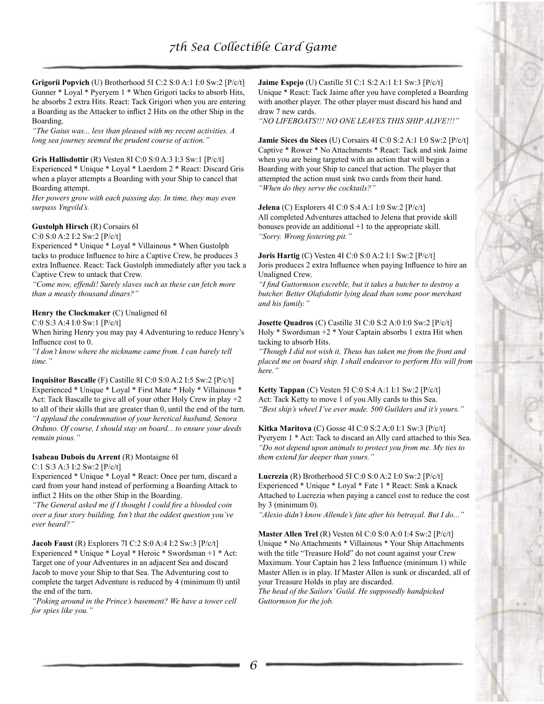**Grigorii Popvich** (U) Brotherhood 5I C:2 S:0 A:1 I:0 Sw:2 [P/c/t] Gunner \* Loyal \* Pyeryem 1 \* When Grigori tacks to absorb Hits, he absorbs 2 extra Hits. React: Tack Grigori when you are entering a Boarding as the Attacker to inflict 2 Hits on the other Ship in the Boarding.

*"The Gaius was... less than pleased with my recent activities. A long sea journey seemed the prudent course of action."*

**Gris Hallisdottir** (R) Vesten 8I C:0 S:0 A:3 I:3 Sw:1 [P/c/t] Experienced \* Unique \* Loyal \* Laerdom 2 \* React: Discard Gris when a player attempts a Boarding with your Ship to cancel that Boarding attempt.

*Her powers grow with each passing day. In time, they may even surpass Yngvild's.*

### **Gustolph Hirsch** (R) Corsairs 6I

C:0 S:0 A:2 I:2 Sw:2 [P/c/t]

Experienced \* Unique \* Loyal \* Villainous \* When Gustolph tacks to produce Influence to hire a Captive Crew, he produces 3 extra Influence. React: Tack Gustolph immediately after you tack a Captive Crew to untack that Crew.

*"Come now, effendi! Surely slaves such as these can fetch more than a measly thousand dinars?"*

### **Henry the Clockmaker** (C) Unaligned 6I

C:0 S:3 A:4 I:0 Sw:1 [P/c/t]

When hiring Henry you may pay 4 Adventuring to reduce Henry's Influence cost to 0.

*"I don't know where the nickname came from. I can barely tell time."*

**Inquisitor Bascalle** (F) Castille 8I C:0 S:0 A:2 I:5 Sw:2 [P/c/t] Experienced \* Unique \* Loyal \* First Mate \* Holy \* Villainous \* Act: Tack Bascalle to give all of your other Holy Crew in play +2 to all of their skills that are greater than 0, until the end of the turn. *"I applaud the condemnation of your heretical husband, Senora Orduno. Of course, I should stay on board... to ensure your deeds remain pious."*

### **Isabeau Dubois du Arrent** (R) Montaigne 6I

C:1 S:3 A:3 I:2 Sw:2 [P/c/t]

Experienced \* Unique \* Loyal \* React: Once per turn, discard a card from your hand instead of performing a Boarding Attack to inflict 2 Hits on the other Ship in the Boarding.

*"The General asked me if I thought I could fire a blooded coin over a four story building. Isn't that the oddest question you've ever heard?"*

**Jacob Faust** (R) Explorers 7I C:2 S:0 A:4 I:2 Sw:3 [P/c/t] Experienced \* Unique \* Loyal \* Heroic \* Swordsman +1 \* Act: Target one of your Adventures in an adjacent Sea and discard Jacob to move your Ship to that Sea. The Adventuring cost to complete the target Adventure is reduced by 4 (minimum 0) until the end of the turn.

*"Poking around in the Prince's basement? We have a tower cell for spies like you."*

**Jaime Espejo** (U) Castille 5I C:1 S:2 A:1 I:1 Sw:3 [P/c/t] Unique \* React: Tack Jaime after you have completed a Boarding with another player. The other player must discard his hand and draw 7 new cards.

*"NO LIFEBOATS!!! NO ONE LEAVES THIS SHIP ALIVE!!!"*

**Jamie Sices du Sices** (U) Corsairs 4I C:0 S:2 A:1 I:0 Sw:2 [P/c/t] Captive \* Rower \* No Attachments \* React: Tack and sink Jaime when you are being targeted with an action that will begin a Boarding with your Ship to cancel that action. The player that attempted the action must sink two cards from their hand. *"When do they serve the cocktails?"*

**Jelena** (C) Explorers 4I C:0 S:4 A:1 I:0 Sw:2 [P/c/t] All completed Adventures attached to Jelena that provide skill bonuses provide an additional +1 to the appropriate skill. *"Sorry. Wrong festering pit."*

**Joris Hartig** (C) Vesten 4I C:0 S:0 A:2 I:1 Sw:2 [P/c/t] Joris produces 2 extra Influence when paying Influence to hire an Unaligned Crew.

*"I find Guttormson excreble, but it takes a butcher to destroy a butcher. Better Olafsdottir lying dead than some poor merchant and his family."*

**Josette Quadros** (C) Castille 3I C:0 S:2 A:0 I:0 Sw:2 [P/c/t] Holy \* Swordsman +2 \* Your Captain absorbs 1 extra Hit when tacking to absorb Hits.

*"Though I did not wish it, Theus has taken me from the front and placed me on board ship. I shall endeavor to perform His will from here."*

**Ketty Tappan** (C) Vesten 5I C:0 S:4 A:1 I:1 Sw:2 [P/c/t] Act: Tack Ketty to move 1 of you Ally cards to this Sea. *"Best ship's wheel I've ever made. 500 Guilders and it's yours."*

**Kitka Maritova** (C) Gosse 4I C:0 S:2 A:0 I:1 Sw:3 [P/c/t] Pyeryem 1 \* Act: Tack to discard an Ally card attached to this Sea. *"Do not depend upon animals to protect you from me. My ties to them extend far deeper than yours."*

**Lucrezia** (R) Brotherhood 5I C:0 S:0 A:2 I:0 Sw:2 [P/c/t] Experienced \* Unique \* Loyal \* Fate 1 \* React: Sink a Knack Attached to Lucrezia when paying a cancel cost to reduce the cost by 3 (minimum 0).

*"Alesio didn't know Allende's fate after his betrayal. But I do..."*

**Master Allen Trel** (R) Vesten 6I C:0 S:0 A:0 I:4 Sw:2 [P/c/t] Unique \* No Attachments \* Villainous \* Your Ship Attachments with the title "Treasure Hold" do not count against your Crew Maximum. Your Captain has 2 less Influence (minimum 1) while Master Allen is in play. If Master Allen is sunk or discarded, all of your Treasure Holds in play are discarded.

*The head of the Sailors' Guild. He supposedly handpicked Guttormson for the job.*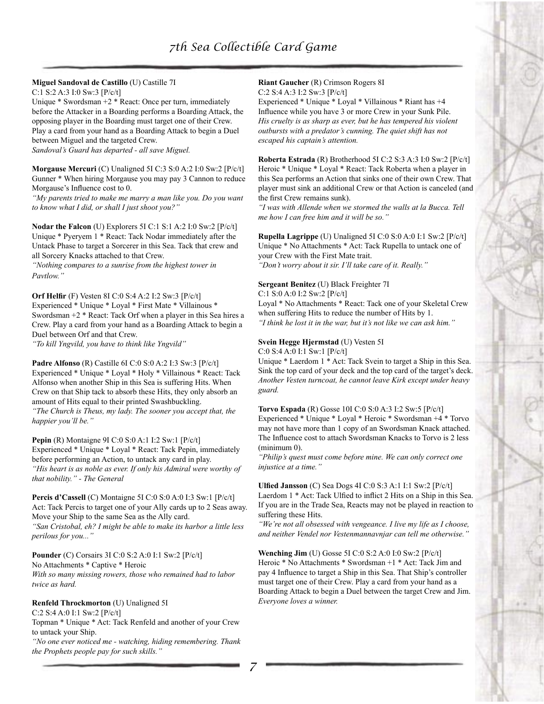# **Miguel Sandoval de Castillo** (U) Castille 7I

C:1 S:2 A:3 I:0 Sw:3 [P/c/t]

Unique \* Swordsman +2 \* React: Once per turn, immediately before the Attacker in a Boarding performs a Boarding Attack, the opposing player in the Boarding must target one of their Crew. Play a card from your hand as a Boarding Attack to begin a Duel between Miguel and the targeted Crew.

*Sandoval's Guard has departed - all save Miguel.*

**Morgause Mercuri** (C) Unaligned 5I C:3 S:0 A:2 I:0 Sw:2 [P/c/t] Gunner \* When hiring Morgause you may pay 3 Cannon to reduce Morgause's Influence cost to 0.

*"My parents tried to make me marry a man like you. Do you want to know what I did, or shall I just shoot you?"*

**Nodar the Falcon** (U) Explorers 5I C:1 S:1 A:2 I:0 Sw:2 [P/c/t] Unique \* Pyeryem 1 \* React: Tack Nodar immediately after the Untack Phase to target a Sorcerer in this Sea. Tack that crew and all Sorcery Knacks attached to that Crew.

*"Nothing compares to a sunrise from the highest tower in Pavtlow."*

**Orf Helfir** (F) Vesten 8I C:0 S:4 A:2 I:2 Sw:3 [P/c/t] Experienced \* Unique \* Loyal \* First Mate \* Villainous \* Swordsman +2 \* React: Tack Orf when a player in this Sea hires a Crew. Play a card from your hand as a Boarding Attack to begin a Duel between Orf and that Crew. *"To kill Yngvild, you have to think like Yngvild"*

**Padre Alfonso** (R) Castille 6I C:0 S:0 A:2 I:3 Sw:3 [P/c/t] Experienced \* Unique \* Loyal \* Holy \* Villainous \* React: Tack Alfonso when another Ship in this Sea is suffering Hits. When Crew on that Ship tack to absorb these Hits, they only absorb an amount of Hits equal to their printed Swashbuckling. *"The Church is Theus, my lady. The sooner you accept that, the happier you'll be."*

**Pepin** (R) Montaigne 9I C:0 S:0 A:1 I:2 Sw:1 [P/c/t] Experienced \* Unique \* Loyal \* React: Tack Pepin, immediately before performing an Action, to untack any card in play. *"His heart is as noble as ever. If only his Admiral were worthy of that nobility." - The General*

**Percis d'Cassell** (C) Montaigne 5I C:0 S:0 A:0 I:3 Sw:1 [P/c/t] Act: Tack Percis to target one of your Ally cards up to 2 Seas away. Move your Ship to the same Sea as the Ally card. *"San Cristobal, eh? I might be able to make its harbor a little less perilous for you..."*

**Pounder** (C) Corsairs 3I C:0 S:2 A:0 I:1 Sw:2 [P/c/t] No Attachments \* Captive \* Heroic *With so many missing rowers, those who remained had to labor twice as hard.*

### **Renfeld Throckmorton** (U) Unaligned 5I

C:2 S:4 A:0 I:1 Sw:2 [P/c/t]

Topman \* Unique \* Act: Tack Renfeld and another of your Crew to untack your Ship.

*"No one ever noticed me - watching, hiding remembering. Thank the Prophets people pay for such skills."*

#### **Riant Gaucher** (R) Crimson Rogers 8I C:2 S:4 A:3 I:2 Sw:3 [P/c/t]

Experienced \* Unique \* Loyal \* Villainous \* Riant has +4 Influence while you have 3 or more Crew in your Sunk Pile. *His cruelty is as sharp as ever, but he has tempered his violent outbursts with a predator's cunning. The quiet shift has not escaped his captain's attention.*

**Roberta Estrada** (R) Brotherhood 5I C:2 S:3 A:3 I:0 Sw:2 [P/c/t] Heroic \* Unique \* Loyal \* React: Tack Roberta when a player in this Sea performs an Action that sinks one of their own Crew. That player must sink an additional Crew or that Action is canceled (and the first Crew remains sunk).

*"I was with Allende when we stormed the walls at la Bucca. Tell me how I can free him and it will be so."*

**Rupella Lagrippe** (U) Unaligned 5I C:0 S:0 A:0 I:1 Sw:2 [P/c/t] Unique \* No Attachments \* Act: Tack Rupella to untack one of your Crew with the First Mate trait. *"Don't worry about it sir. I'll take care of it. Really."*

### **Sergeant Benitez** (U) Black Freighter 7I

C:1 S:0 A:0 I:2 Sw:2 [P/c/t]

Loyal \* No Attachments \* React: Tack one of your Skeletal Crew when suffering Hits to reduce the number of Hits by 1. *"I think he lost it in the war, but it's not like we can ask him."*

## **Svein Hegge Hjermstad** (U) Vesten 5I

C:0 S:4 A:0 I:1 Sw:1 [P/c/t]

Unique \* Laerdom 1 \* Act: Tack Svein to target a Ship in this Sea. Sink the top card of your deck and the top card of the target's deck. *Another Vesten turncoat, he cannot leave Kirk except under heavy guard.*

**Torvo Espada** (R) Gosse 10I C:0 S:0 A:3 I:2 Sw:5 [P/c/t]

Experienced \* Unique \* Loyal \* Heroic \* Swordsman +4 \* Torvo may not have more than 1 copy of an Swordsman Knack attached. The Influence cost to attach Swordsman Knacks to Torvo is 2 less (minimum 0).

*"Philip's quest must come before mine. We can only correct one injustice at a time."*

**Ulfied Jansson** (C) Sea Dogs 4I C:0 S:3 A:1 I:1 Sw:2 [P/c/t] Laerdom 1 \* Act: Tack Ulfied to inflict 2 Hits on a Ship in this Sea. If you are in the Trade Sea, Reacts may not be played in reaction to suffering these Hits.

*"We're not all obsessed with vengeance. I live my life as I choose, and neither Vendel nor Vestenmannavnjar can tell me otherwise."*

**Wenching Jim** (U) Gosse 5I C:0 S:2 A:0 I:0 Sw:2 [P/c/t] Heroic \* No Attachments \* Swordsman +1 \* Act: Tack Jim and pay 4 Influence to target a Ship in this Sea. That Ship's controller must target one of their Crew. Play a card from your hand as a Boarding Attack to begin a Duel between the target Crew and Jim. *Everyone loves a winner.*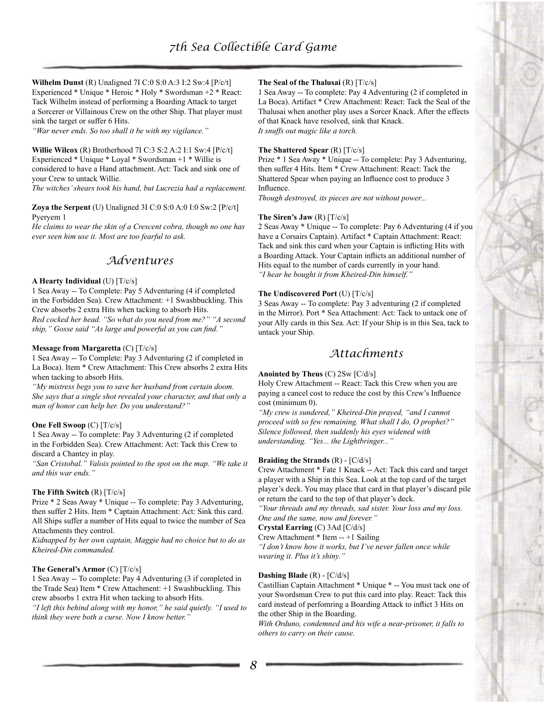**Wilhelm Dunst** (R) Unaligned 7I C:0 S:0 A:3 I:2 Sw:4 [P/c/t] Experienced \* Unique \* Heroic \* Holy \* Swordsman +2 \* React: Tack Wilhelm instead of performing a Boarding Attack to target a Sorcerer or Villainous Crew on the other Ship. That player must sink the target or suffer 6 Hits.

*"War never ends. So too shall it be with my vigilance."*

**Willie Wilcox** (R) Brotherhood 7I C:3 S:2 A:2 I:1 Sw:4 [P/c/t] Experienced \* Unique \* Loyal \* Swordsman +1 \* Willie is considered to have a Hand attachment. Act: Tack and sink one of your Crew to untack Willie.

*The witches' shears took his hand, but Lucrezia had a replacement.*

#### **Zoya the Serpent** (U) Unaligned 3I C:0 S:0 A:0 I:0 Sw:2 [P/c/t] Pyeryem 1

*He claims to wear the skin of a Crescent cobra, though no one has ever seen him use it. Most are too fearful to ask.*

# *Adventures*

### **A Hearty Individual** (U) [T/c/s]

1 Sea Away -- To Complete: Pay 5 Adventuring (4 if completed in the Forbidden Sea). Crew Attachment: +1 Swashbuckling. This Crew absorbs 2 extra Hits when tacking to absorb Hits. *Red cocked her head. "So what do you need from me?" "A second ship," Gosse said "As large and powerful as you can find."*

### **Message from Margaretta** (C) [T/c/s]

1 Sea Away -- To Complete: Pay 3 Adventuring (2 if completed in La Boca). Item \* Crew Attachment: This Crew absorbs 2 extra Hits when tacking to absorb Hits.

*"My mistress begs you to save her husband from certain doom. She says that a single shot revealed your character, and that only a man of honor can help her. Do you understand?"*

#### **One Fell Swoop** (C) [T/c/s]

1 Sea Away -- To complete: Pay 3 Adventuring (2 if completed in the Forbidden Sea). Crew Attachment: Act: Tack this Crew to discard a Chantey in play.

*"San Cristobal." Valoix pointed to the spot on the map. "We take it and this war ends."*

#### **The Fifth Switch** (R) [T/c/s]

Prize \* 2 Seas Away \* Unique -- To complete: Pay 3 Adventuring, then suffer 2 Hits. Item \* Captain Attachment: Act: Sink this card. All Ships suffer a number of Hits equal to twice the number of Sea Attachments they control.

*Kidnapped by her own captain, Maggie had no choice but to do as Kheired-Din commanded.*

#### **The General's Armor** (C) [T/c/s]

1 Sea Away -- To complete: Pay 4 Adventuring (3 if completed in the Trade Sea) Item \* Crew Attachment: +1 Swashbuckling. This crew absorbs 1 extra Hit when tacking to absorb Hits.

*"I left this behind along with my honor," he said quietly. "I used to think they were both a curse. Now I know better."*

### **The Seal of the Thalusai** (R) [T/c/s]

1 Sea Away -- To complete: Pay 4 Adventuring (2 if completed in La Boca). Artifact \* Crew Attachment: React: Tack the Seal of the Thalusai when another play uses a Sorcer Knack. After the effects of that Knack have resolved, sink that Knack. *It snuffs out magic like a torch.*

#### **The Shattered Spear** (R) [T/c/s]

Prize \* 1 Sea Away \* Unique -- To complete: Pay 3 Adventuring, then suffer 4 Hits. Item \* Crew Attachment: React: Tack the Shattered Spear when paying an Influence cost to produce 3 Influence.

*Though destroyed, its pieces are not without power...*

#### **The Siren's Jaw** (R) [T/c/s]

2 Seas Away \* Unique -- To complete: Pay 6 Adventuring (4 if you have a Corsairs Captain). Artifact \* Captain Attachment: React: Tack and sink this card when your Captain is inflicting Hits with a Boarding Attack. Your Captain inflicts an additional number of Hits equal to the number of cards currently in your hand. *"I hear he bought it from Kheired-Din himself."*

### **The Undiscovered Port** (U) [T/c/s]

3 Seas Away -- To complete: Pay 3 adventuring (2 if completed in the Mirror). Port \* Sea Attachment: Act: Tack to untack one of your Ally cards in this Sea. Act: If your Ship is in this Sea, tack to untack your Ship.

# *Attachments*

### **Anointed by Theus** (C) 2Sw [C/d/s]

Holy Crew Attachment -- React: Tack this Crew when you are paying a cancel cost to reduce the cost by this Crew's Influence cost (minimum 0).

*"My crew is sundered," Kheired-Din prayed, "and I cannot proceed with so few remaining. What shall I do, O prophet?" Silence followed, then suddenly his eyes widened with understanding. "Yes... the Lightbringer..."*

### **Braiding the Strands** (R) - [C/d/s]

Crew Attachment \* Fate 1 Knack -- Act: Tack this card and target a player with a Ship in this Sea. Look at the top card of the target player's deck. You may place that card in that player's discard pile or return the card to the top of that player's deck.

*"Your threads and my threads, sad sister. Your loss and my loss. One and the same, now and forever."*

**Crystal Earring** (C) 3Ad [C/d/s]

Crew Attachment \* Item -- +1 Sailing

*"I don't know how it works, but I've never fallen once while wearing it. Plus it's shiny."*

#### **Dashing Blade** (R) - [C/d/s]

Castillian Captain Attachment \* Unique \* -- You must tack one of your Swordsman Crew to put this card into play. React: Tack this card instead of perfomring a Boarding Attack to inflict 3 Hits on the other Ship in the Boarding.

*With Orduno, condemned and his wife a near-prisoner, it falls to others to carry on their cause.*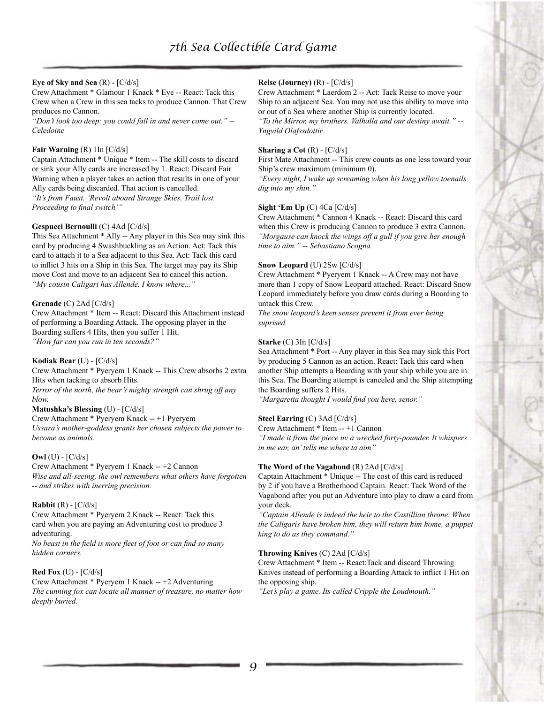### **Eye of Sky and Sea** (R) - [C/d/s]

Crew Attachment \* Glamour 1 Knack \* Eye -- React: Tack this Crew when a Crew in this sea tacks to produce Cannon. That Crew produces no Cannon.

*"Don't look too deep: you could fall in and never come out." -- Celedoine*

### **Fair Warning** (R) 1In [C/d/s]

Captain Attachment \* Unique \* Item -- The skill costs to discard or sink your Ally cards are increased by 1. React: Discard Fair Warning when a player takes an action that results in one of your Ally cards being discarded. That action is cancelled. *"It's from Faust. 'Revolt aboard Strange Skies. Trail lost. Proceeding to final switch'"*

### **Gespucci Bernoulli** (C) 4Ad [C/d/s]

This Sea Attachment \* Ally -- Any player in this Sea may sink this card by producing 4 Swashbuckling as an Action. Act: Tack this card to attach it to a Sea adjacent to this Sea. Act: Tack this card to inflict 3 hits on a Ship in this Sea. The target may pay its Ship move Cost and move to an adjacent Sea to cancel this action. *"My cousin Caligari has Allende. I know where..."*

#### **Grenade** (C) 2Ad [C/d/s]

Crew Attachment \* Item -- React: Discard this Attachment instead of performing a Boarding Attack. The opposing player in the Boarding suffers 4 Hits, then you suffer 1 Hit. *"How far can you run in ten seconds?"*

**Kodiak Bear** (U) - [C/d/s]

Crew Attachment \* Pyeryem 1 Knack -- This Crew absorbs 2 extra Hits when tacking to absorb Hits.

*Terror of the north, the bear's mighty strength can shrug off any blow.*

#### **Matushka's Blessing** (U) - [C/d/s]

Crew Attachment \* Pyeryem Knack -- +1 Pyeryem *Ussara's mother-goddess grants her chosen subjects the power to become as animals.*

### **Owl** (U) - [C/d/s]

Crew Attachment \* Pyeryem 1 Knack -- +2 Cannon *Wise and all-seeing, the owl remembers what others have forgotten -- and strikes with inerring precision.*

### **Rabbit** (R) - [C/d/s]

Crew Attachment \* Pyeryem 2 Knack -- React: Tack this card when you are paying an Adventuring cost to produce 3 adventuring.

*No beast in the field is more fleet of foot or can find so many hidden corners.*

### **Red Fox** (U) - [C/d/s]

Crew Attachment \* Pyeryem 1 Knack -- +2 Adventuring *The cunning fox can locate all manner of treasure, no matter how deeply buried.*

### **Reise (Journey)** (R) - [C/d/s]

Crew Attachment \* Laerdom 2 -- Act: Tack Reise to move your Ship to an adjacent Sea. You may not use this ability to move into or out of a Sea where another Ship is currently located. *"To the Mirror, my brothers. Valhalla and our destiny await." --* 

*Yngvild Olafssdottir*

#### **Sharing a Cot** (R) - [C/d/s]

First Mate Attachment -- This crew counts as one less toward your Ship's crew maximum (minimum 0).

*"Every night, I wake up screaming when his long yellow toenails dig into my shin."*

#### **Sight 'Em Up** (C) 4Ca [C/d/s]

Crew Attachment \* Cannon 4 Knack -- React: Discard this card when this Crew is producing Cannon to produce 3 extra Cannon. *"Morgause can knock the wings off a gull if you give her enough time to aim." -- Sebastiano Scogna*

### **Snow Leopard** (U) 2Sw [C/d/s]

Crew Attachment \* Pyeryem 1 Knack -- A Crew may not have more than 1 copy of Snow Leopard attached. React: Discard Snow Leopard immediately before you draw cards during a Boarding to untack this Crew.

*The snow leopard's keen senses prevent it from ever being suprised.*

### **Starke** (C) 3In [C/d/s]

Sea Attachment \* Port -- Any player in this Sea may sink this Port by producing 5 Cannon as an action. React: Tack this card when another Ship attempts a Boarding with your ship while you are in this Sea. The Boarding attempt is canceled and the Ship attempting the Boarding suffers 2 Hits.

*"Margaretta thought I would find you here, senor."*

### **Steel Earring** (C) 3Ad [C/d/s]

Crew Attachment \* Item -- +1 Cannon *"I made it from the piece uv a wrecked forty-pounder. It whispers in me ear, an' tells me where ta aim"*

#### **The Word of the Vagabond** (R) 2Ad [C/d/s]

Captain Attachment \* Unique -- The cost of this card is reduced by 2 if you have a Brotherhood Captain. React: Tack Word of the Vagabond after you put an Adventure into play to draw a card from your deck.

*"Captain Allende is indeed the heir to the Castillian throne. When the Caligaris have broken him, they will return him home, a puppet king to do as they command."*

#### **Throwing Knives** (C) 2Ad [C/d/s]

Crew Attachment \* Item -- React:Tack and discard Throwing Knives instead of performing a Boarding Attack to inflict 1 Hit on the opposing ship.

*"Let's play a game. Its called Cripple the Loudmouth."*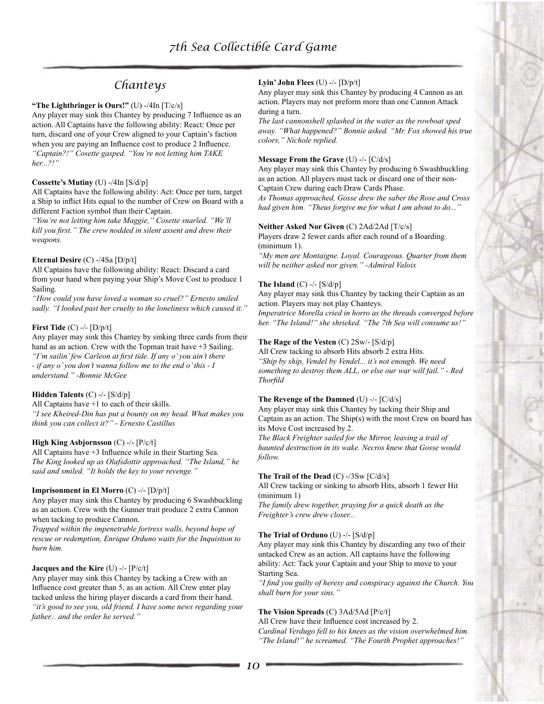# *Chanteys*

### **"The Lightbringer is Ours!"** (U) -/4In [T/c/s]

Any player may sink this Chantey by producing 7 Influence as an action. All Captains have the following ability: React: Once per turn, discard one of your Crew aligned to your Captain's faction when you are paying an Influence cost to produce 2 Influence. *"Captain?!" Cosette gasped. "You're not letting him TAKE her...?!"*

### **Cossette's Mutiny** (U) -/4In [S/d/p]

All Captains have the following ability: Act: Once per turn, target a Ship to inflict Hits equal to the number of Crew on Board with a different Faction symbol than their Captain.

*"You're not letting him take Maggie," Cosette snarled. "We'll kill you first." The crew nodded in silent assent and drew their weapons.*

### **Eternal Desire** (C) -/4Sa [D/p/t]

All Captains have the following ability: React: Discard a card from your hand when paying your Ship's Move Cost to produce 1 Sailing.

*"How could you have loved a woman so cruel?" Ernesto smiled sadly. "I looked past her cruelty to the loneliness which caused it."*

### **First Tide** (C) -/- [D/p/t]

Any player may sink this Chantey by sinking three cards from their hand as an action. Crew with the Topman trait have +3 Sailing. *"I'm sailin' few Carleon at first tide. If any o' you ain't there - if any o' you don't wanna follow me to the end o' this - I understand." -Bonnie McGee*

### **Hidden Talents** (C) -/- [S/d/p]

All Captains have +1 to each of their skills. *"I see Kheired-Din has put a bounty on my head. What makes you think you can collect it?" - Ernesto Castillus*

#### **High King Asbjornsson** (C) -/- [P/c/t]

All Captains have +3 Influence while in their Starting Sea. *The King looked up as Olafsdottir approached. "The Island," he said and smiled. "It holds the key to your revenge."*

### **Imprisonment in El Morro** (C) -/- [D/p/t]

Any player may sink this Chantey by producing 6 Swashbuckling as an action. Crew with the Gunner trait produce 2 extra Cannon when tacking to produce Cannon.

*Trapped within the impenetrable fortress walls, beyond hope of rescue or redemption, Enrique Orduno waits for the Inquistion to burn him.*

### **Jacques and the Kire** (U) -/- [P/c/t]

Any player may sink this Chantey by tacking a Crew with an Influence cost greater than 5, as an action. All Crew enter play tacked unless the hiring player discards a card from their hand. *"it's good to see you, old friend. I have some news regarding your father... and the order he served."*

### **Lyin' John Flees** (U) -/- [D/p/t]

Any player may sink this Chantey by producing 4 Cannon as an action. Players may not preform more than one Cannon Attack during a turn.

*The last cannonshell splashed in the water as the rowboat sped away. "What happened?" Bonnie asked. "Mr. Fox showed his true colors," Nichole replied.*

### **Message From the Grave** (U) -/- [C/d/s]

Any player may sink this Chantey by producing 6 Swashbuckling as an action. All players must tack or discard one of their non-Captain Crew during each Draw Cards Phase.

*As Thomas approached, Gosse drew the saber the Rose and Cross had given him. "Theus forgive me for what I am about to do..."*

#### **Neither Asked Nor Given** (C) 2Ad/2Ad [T/c/s]

Players draw 2 fewer cards after each round of a Boarding (minimum 1).

*"My men are Montaigne. Loyal. Courageous. Quarter from them will be neither asked nor given." -Admiral Valoix*

### **The Island** (C) -/- [S/d/p]

Any player may sink this Chantey by tacking their Captain as an action. Players may not play Chanteys.

*Imperatrice Morella cried in horro as the threads converged before her. "The Island!" she shrieked. "The 7th Sea will consume us!"*

### **The Rage of the Vesten** (C) 2Sw/- [S/d/p]

All Crew tacking to absorb Hits absorb 2 extra Hits. *"Ship by ship, Vendel by Vendel... it's not enough. We need something to destroy them ALL, or else our war will fail." - Red Thorfild*

#### **The Revenge of the Damned** (U) -/- [C/d/s]

Any player may sink this Chantey by tacking their Ship and Captain as an action. The Ship(s) with the most Crew on board has its Move Cost increased by 2.

*The Black Freighter sailed for the Mirror, leaving a trail of haunted destruction in its wake. Necros knew that Gosse would follow.*

#### **The Trail of the Dead** (C) -/3Sw [C/d/s]

All Crew tacking or sinking to absorb Hits, absorb 1 fewer Hit (minimum 1)

*The family drew together, praying for a quick death as the Freighter's crew drew closer...*

### **The Trial of Orduno** (U) -/- [S/d/p]

Any player may sink this Chantey by discarding any two of their untacked Crew as an action. All captains have the following ability: Act: Tack your Captain and your Ship to move to your Starting Sea.

*"I find you guilty of heresy and conspiracy against the Church. You shall burn for your sins."*

### **The Vision Spreads** (C) 3Ad/5Ad [P/c/t]

All Crew have their Influence cost increased by 2. *Cardinal Verdugo fell to his knees as the vision overwhelmed him. "The Island!" he screamed. "The Fourth Prophet approaches!"*